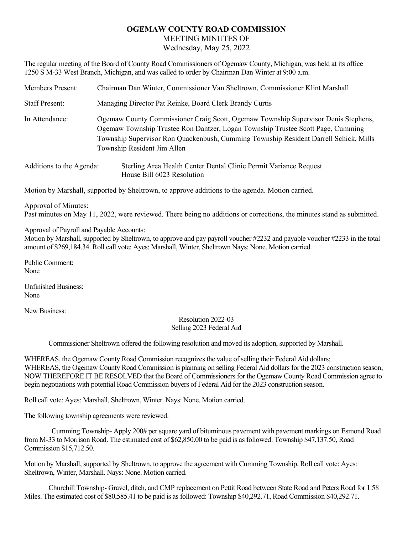## **OGEMAW COUNTY ROAD COMMISSION**  MEETING MINUTES OF

Wednesday, May 25, 2022

The regular meeting of the Board of County Road Commissioners of Ogemaw County, Michigan, was held at its office 1250 S M-33 West Branch, Michigan, and was called to order by Chairman Dan Winter at 9:00 a.m.

| Members Present:         | Chairman Dan Winter, Commissioner Van Sheltrown, Commissioner Klint Marshall                                                                                                                                                                                                                 |
|--------------------------|----------------------------------------------------------------------------------------------------------------------------------------------------------------------------------------------------------------------------------------------------------------------------------------------|
| <b>Staff Present:</b>    | Managing Director Pat Reinke, Board Clerk Brandy Curtis                                                                                                                                                                                                                                      |
| In Attendance:           | Ogemaw County Commissioner Craig Scott, Ogemaw Township Supervisor Denis Stephens,<br>Ogemaw Township Trustee Ron Dantzer, Logan Township Trustee Scott Page, Cumming<br>Township Supervisor Ron Quackenbush, Cumming Township Resident Darrell Schick, Mills<br>Township Resident Jim Allen |
| Additions to the Agenda: | Sterling Area Health Center Dental Clinic Permit Variance Request<br>House Bill 6023 Resolution                                                                                                                                                                                              |

Motion by Marshall, supported by Sheltrown, to approve additions to the agenda. Motion carried.

Approval of Minutes:

Past minutes on May 11, 2022, were reviewed. There being no additions or corrections, the minutes stand as submitted.

Approval of Payroll and Payable Accounts:

Motion by Marshall, supported by Sheltrown, to approve and pay payroll voucher #2232 and payable voucher #2233 in the total amount of \$269,184.34. Roll call vote: Ayes: Marshall, Winter, Sheltrown Nays: None. Motion carried.

Public Comment: None

Unfinished Business: None

New Business:

## Resolution 2022-03 Selling 2023 Federal Aid

Commissioner Sheltrown offered the following resolution and moved its adoption, supported by Marshall.

WHEREAS, the Ogemaw County Road Commission recognizes the value of selling their Federal Aid dollars; WHEREAS, the Ogemaw County Road Commission is planning on selling Federal Aid dollars for the 2023 construction season; NOW THEREFORE IT BE RESOLVED that the Board of Commissioners for the Ogemaw County Road Commission agree to begin negotiations with potential Road Commission buyers of Federal Aid for the 2023 construction season.

Roll call vote: Ayes: Marshall, Sheltrown, Winter. Nays: None. Motion carried.

The following township agreements were reviewed.

 Cumming Township- Apply 200# per square yard of bituminous pavement with pavement markings on Esmond Road from M-33 to Morrison Road. The estimated cost of \$62,850.00 to be paid is as followed: Township \$47,137.50, Road Commission \$15,712.50.

Motion by Marshall, supported by Sheltrown, to approve the agreement with Cumming Township. Roll call vote: Ayes: Sheltrown, Winter, Marshall. Nays: None. Motion carried.

 Churchill Township- Gravel, ditch, and CMP replacement on Pettit Road between State Road and Peters Road for 1.58 Miles. The estimated cost of \$80,585.41 to be paid is as followed: Township \$40,292.71, Road Commission \$40,292.71.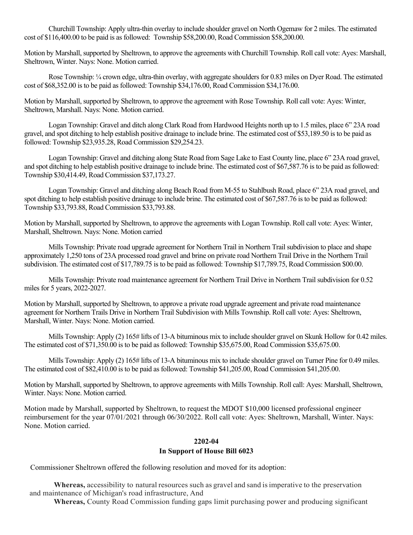Churchill Township: Apply ultra-thin overlay to include shoulder gravel on North Ogemaw for 2 miles. The estimated cost of \$116,400.00 to be paid is as followed: Township \$58,200.00, Road Commission \$58,200.00.

Motion by Marshall, supported by Sheltrown, to approve the agreements with Churchill Township. Roll call vote: Ayes: Marshall, Sheltrown, Winter. Nays: None. Motion carried.

 Rose Township: ¼ crown edge, ultra-thin overlay, with aggregate shoulders for 0.83 miles on Dyer Road. The estimated cost of \$68,352.00 is to be paid as followed: Township \$34,176.00, Road Commission \$34,176.00.

Motion by Marshall, supported by Sheltrown, to approve the agreement with Rose Township. Roll call vote: Ayes: Winter, Sheltrown, Marshall. Nays: None. Motion carried.

 Logan Township: Gravel and ditch along Clark Road from Hardwood Heights north up to 1.5 miles, place 6" 23A road gravel, and spot ditching to help establish positive drainage to include brine. The estimated cost of \$53,189.50 is to be paid as followed: Township \$23,935.28, Road Commission \$29,254.23.

 Logan Township: Gravel and ditching along State Road from Sage Lake to East County line, place 6" 23A road gravel, and spot ditching to help establish positive drainage to include brine. The estimated cost of \$67,587.76 is to be paid as followed: Township \$30,414.49, Road Commission \$37,173.27.

 Logan Township: Gravel and ditching along Beach Road from M-55 to Stahlbush Road, place 6" 23A road gravel, and spot ditching to help establish positive drainage to include brine. The estimated cost of \$67,587.76 is to be paid as followed: Township \$33,793.88, Road Commission \$33,793.88.

Motion by Marshall, supported by Sheltrown, to approve the agreements with Logan Township. Roll call vote: Ayes: Winter, Marshall, Sheltrown. Nays: None. Motion carried

 Mills Township: Private road upgrade agreement for Northern Trail in Northern Trail subdivision to place and shape approximately 1,250 tons of 23A processed road gravel and brine on private road Northern Trail Drive in the Northern Trail subdivision. The estimated cost of \$17,789.75 is to be paid as followed: Township \$17,789.75, Road Commission \$00.00.

 Mills Township: Private road maintenance agreement for Northern Trail Drive in Northern Trail subdivision for 0.52 miles for 5 years, 2022-2027.

Motion by Marshall, supported by Sheltrown, to approve a private road upgrade agreement and private road maintenance agreement for Northern Trails Drive in Northern Trail Subdivision with Mills Township. Roll call vote: Ayes: Sheltrown, Marshall, Winter. Nays: None. Motion carried.

 Mills Township: Apply (2) 165# lifts of 13-A bituminous mix to include shoulder gravel on Skunk Hollow for 0.42 miles. The estimated cost of \$71,350.00 is to be paid as followed: Township \$35,675.00, Road Commission \$35,675.00.

Mills Township: Apply (2) 165# lifts of 13-A bituminous mix to include shoulder gravel on Turner Pine for 0.49 miles. The estimated cost of \$82,410.00 is to be paid as followed: Township \$41,205.00, Road Commission \$41,205.00.

Motion by Marshall, supported by Sheltrown, to approve agreements with Mills Township. Roll call: Ayes: Marshall, Sheltrown, Winter. Nays: None. Motion carried.

Motion made by Marshall, supported by Sheltrown, to request the MDOT \$10,000 licensed professional engineer reimbursement for the year 07/01/2021 through 06/30/2022. Roll call vote: Ayes: Sheltrown, Marshall, Winter. Nays: None. Motion carried.

## **2202-04**

## **In Support of House Bill 6023**

Commissioner Sheltrown offered the following resolution and moved for its adoption:

**Whereas,** accessibility to natural resources such as gravel and sand is imperative to the preservation and maintenance of Michigan's road infrastructure, And

**Whereas,** County Road Commission funding gaps limit purchasing power and producing significant